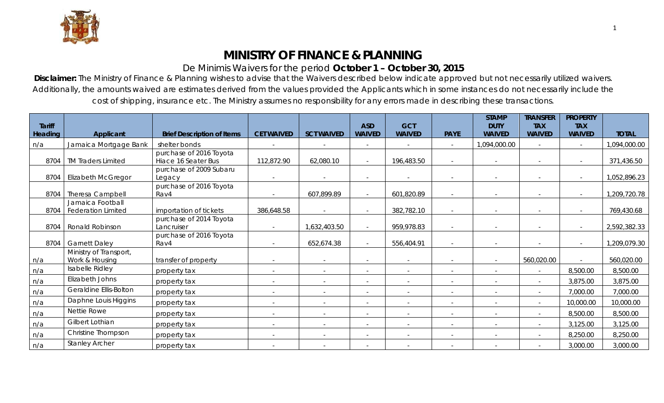

## **MINISTRY OF FINANCE & PLANNING**

## De Minimis Waivers for the period **October 1 – October 30, 2015**

**Disclaimer:** The Ministry of Finance & Planning wishes to advise that the Waivers described below indicate approved but not necessarily utilized waivers. Additionally, the amounts waived are estimates derived from the values provided the Applicants which in some instances do not necessarily include the cost of shipping, insurance etc. The Ministry assumes no responsibility for any errors made in describing these transactions.

| <b>Tariff</b> |                                               |                                                |                          |                   | <b>ASD</b>     | <b>GCT</b>               |                          | <b>STAMP</b><br><b>DUTY</b> | <b>TRANSFER</b><br><b>TAX</b> | <b>PROPERTY</b><br><b>TAX</b> |              |
|---------------|-----------------------------------------------|------------------------------------------------|--------------------------|-------------------|----------------|--------------------------|--------------------------|-----------------------------|-------------------------------|-------------------------------|--------------|
| Heading       | Applicant                                     | <b>Brief Description of Items</b>              | <b>CET WAIVED</b>        | <b>SCT WAIVED</b> | <b>WAIVED</b>  | <b>WAIVED</b>            | <b>PAYE</b>              | <b>WAIVED</b>               | <b>WAIVED</b>                 | <b>WAIVED</b>                 | <b>TOTAL</b> |
| n/a           | Jamaica Mortgage Bank                         | shelter bonds                                  |                          |                   |                |                          |                          | 1,094,000.00                |                               |                               | 1,094,000.00 |
| 8704          | <b>TM Traders Limited</b>                     | purchase of 2016 Toyota<br>Hiace 16 Seater Bus | 112,872.90               | 62,080.10         |                | 196,483.50               | $\sim$                   | $\sim$                      | $\overline{\phantom{0}}$      |                               | 371,436.50   |
| 8704          | <b>Elizabeth McGregor</b>                     | purchase of 2009 Subaru<br>Legacy              |                          |                   |                |                          |                          |                             |                               |                               | 1,052,896.23 |
| 8704          | <b>Theresa Campbell</b>                       | purchase of 2016 Toyota<br>Rav4                |                          | 607,899.89        |                | 601,820.89               |                          |                             |                               |                               | 1,209,720.78 |
| 8704          | Jamaica Football<br><b>Federation Limited</b> | importation of tickets                         | 386,648.58               |                   |                | 382,782.10               |                          |                             |                               |                               | 769,430.68   |
| 8704          | Ronald Robinson                               | purchase of 2014 Toyota<br>Lancruiser          |                          | 1,632,403.50      |                | 959,978.83               |                          |                             |                               |                               | 2,592,382.33 |
| 8704          | <b>Garnett Daley</b>                          | purchase of 2016 Toyota<br>Rav4                |                          | 652,674.38        |                | 556,404.91               |                          |                             |                               |                               | 1,209,079.30 |
| n/a           | Ministry of Transport,<br>Work & Housing      | transfer of property                           | $\overline{\phantom{a}}$ |                   |                |                          |                          |                             | 560,020.00                    |                               | 560,020.00   |
| n/a           | Isabelle Ridley                               | property tax                                   | $\overline{\phantom{a}}$ |                   |                |                          |                          |                             |                               | 8,500.00                      | 8,500.00     |
| n/a           | Elizabeth Johns                               | property tax                                   | $\overline{\phantom{a}}$ |                   |                |                          |                          |                             |                               | 3,875.00                      | 3,875.00     |
| n/a           | Geraldine Ellis-Bolton                        | property tax                                   |                          |                   |                |                          |                          |                             |                               | 7,000.00                      | 7,000.00     |
| n/a           | Daphne Louis Higgins                          | property tax                                   | $\overline{a}$           |                   |                |                          | $\overline{\phantom{a}}$ |                             |                               | 10,000.00                     | 10,000.00    |
| n/a           | Nettie Rowe                                   | property tax                                   | $\overline{\phantom{a}}$ | $\sim$            | $\overline{a}$ | $\overline{\phantom{a}}$ | $\sim$                   | $\sim$                      | $\overline{\phantom{a}}$      | 8,500.00                      | 8,500.00     |
| n/a           | Gilbert Lothian                               | property tax                                   |                          |                   |                |                          |                          |                             |                               | 3,125.00                      | 3,125.00     |
| n/a           | Christine Thompson                            | property tax                                   | $\overline{\phantom{a}}$ |                   |                |                          | $\overline{\phantom{a}}$ |                             |                               | 8,250.00                      | 8,250.00     |
| n/a           | <b>Stanley Archer</b>                         | property tax                                   | $\overline{\phantom{a}}$ |                   |                |                          |                          |                             | $\overline{\phantom{a}}$      | 3,000.00                      | 3,000.00     |